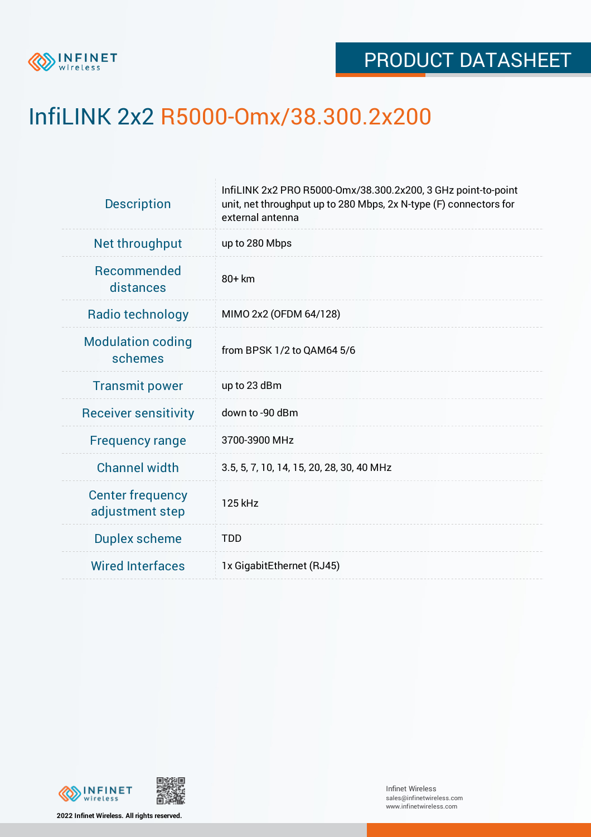

## InfiLINK 2x2 R5000-Omx/38.300.2x200

| <b>Description</b>                         | InfiLINK 2x2 PRO R5000-Omx/38.300.2x200, 3 GHz point-to-point<br>unit, net throughput up to 280 Mbps, 2x N-type (F) connectors for<br>external antenna |  |  |  |
|--------------------------------------------|--------------------------------------------------------------------------------------------------------------------------------------------------------|--|--|--|
| Net throughput                             | up to 280 Mbps                                                                                                                                         |  |  |  |
| <b>Recommended</b><br>distances            | 80+ km                                                                                                                                                 |  |  |  |
| Radio technology                           | MIMO 2x2 (OFDM 64/128)                                                                                                                                 |  |  |  |
| <b>Modulation coding</b><br>schemes        | from BPSK 1/2 to QAM64 5/6                                                                                                                             |  |  |  |
| <b>Transmit power</b>                      | up to 23 dBm                                                                                                                                           |  |  |  |
| <b>Receiver sensitivity</b>                | down to -90 dBm                                                                                                                                        |  |  |  |
| <b>Frequency range</b>                     | 3700-3900 MHz                                                                                                                                          |  |  |  |
| <b>Channel width</b>                       | 3.5, 5, 7, 10, 14, 15, 20, 28, 30, 40 MHz                                                                                                              |  |  |  |
| <b>Center frequency</b><br>adjustment step | 125 kHz                                                                                                                                                |  |  |  |
| <b>Duplex scheme</b>                       | <b>TDD</b>                                                                                                                                             |  |  |  |
| <b>Wired Interfaces</b>                    | 1x GigabitEthernet (RJ45)                                                                                                                              |  |  |  |
|                                            |                                                                                                                                                        |  |  |  |



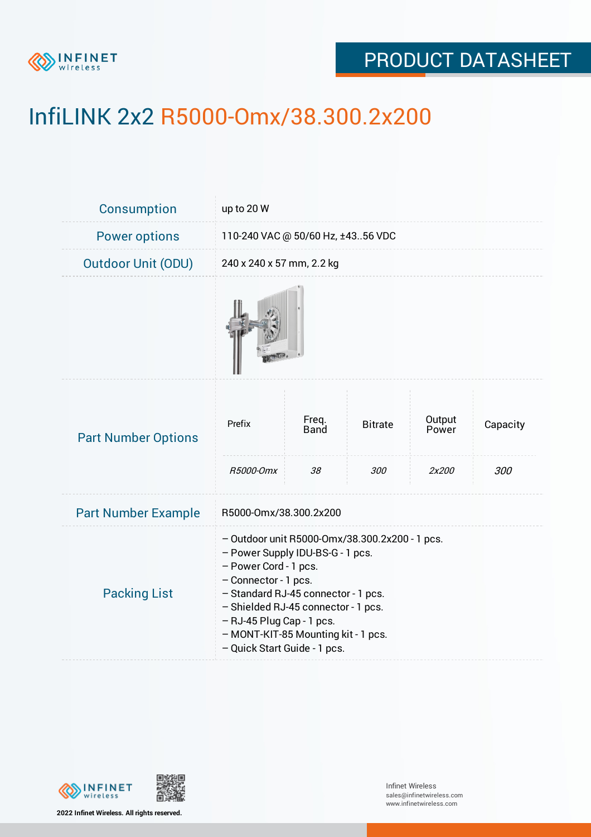

## PRODUCT DATASHEET

# InfiLINK 2x2 R5000-Omx/38.300.2x200

| Consumption                | up to 20 W                                                                                                                                                                                                                                                                                                            |                      |                |                 |          |  |
|----------------------------|-----------------------------------------------------------------------------------------------------------------------------------------------------------------------------------------------------------------------------------------------------------------------------------------------------------------------|----------------------|----------------|-----------------|----------|--|
| <b>Power options</b>       | 110-240 VAC @ 50/60 Hz, ±4356 VDC                                                                                                                                                                                                                                                                                     |                      |                |                 |          |  |
| <b>Outdoor Unit (ODU)</b>  | 240 x 240 x 57 mm, 2.2 kg                                                                                                                                                                                                                                                                                             |                      |                |                 |          |  |
|                            |                                                                                                                                                                                                                                                                                                                       |                      |                |                 |          |  |
| <b>Part Number Options</b> | Prefix                                                                                                                                                                                                                                                                                                                | Freq.<br><b>Band</b> | <b>Bitrate</b> | Output<br>Power | Capacity |  |
|                            | R5000-Omx                                                                                                                                                                                                                                                                                                             | 38                   | 300            | 2x200           | 300      |  |
| <b>Part Number Example</b> | R5000-Omx/38.300.2x200                                                                                                                                                                                                                                                                                                |                      |                |                 |          |  |
| <b>Packing List</b>        | - Outdoor unit R5000-Omx/38.300.2x200 - 1 pcs.<br>- Power Supply IDU-BS-G - 1 pcs.<br>- Power Cord - 1 pcs.<br>- Connector - 1 pcs.<br>- Standard RJ-45 connector - 1 pcs.<br>- Shielded RJ-45 connector - 1 pcs.<br>- RJ-45 Plug Cap - 1 pcs.<br>- MONT-KIT-85 Mounting kit - 1 pcs.<br>- Quick Start Guide - 1 pcs. |                      |                |                 |          |  |



**2022 Infinet Wireless. All rights reserved.**

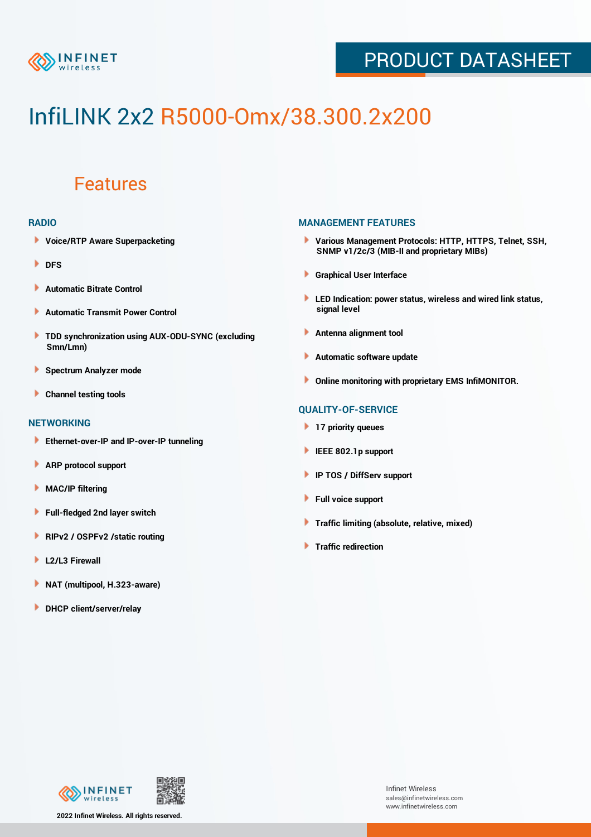

## PRODUCT DATASHEET

# InfiLINK 2x2 R5000-Omx/38.300.2x200

### Features

#### **RADIO**

- **Voice/RTP Aware Superpacketing**
- **DFS**
- **Automatic Bitrate Control** Þ
- Þ **Automatic Transmit Power Control**
- ь **TDD synchronization using AUX-ODU-SYNC (excluding Smn/Lmn)**
- **Spectrum Analyzer mode** ۰
- **Channel testing tools** ١

#### **NETWORKING**

- **Ethernet-over-IP and IP-over-IP tunneling**
- Þ **ARP protocol support**
- ۱ **MAC/IP filtering**
- Þ **Full-fledged 2nd layer switch**
- Þ **RIPv2 / OSPFv2 /static routing**
- **L2/L3 Firewall** Þ
- **NAT (multipool, H.323-aware)** Þ
- Þ **DHCP client/server/relay**

#### **MANAGEMENT FEATURES**

- **Various Management Protocols: HTTP, HTTPS, Telnet, SSH, SNMP v1/2c/3 (MIB-II and proprietary MIBs)**
- **Graphical User Interface**
- **LED Indication: power status, wireless and wired link status, signal level**
- **Antenna alignment tool**
- ٠ **Automatic software update**
- **Online monitoring with proprietary EMS InfiMONITOR.**

#### **QUALITY-OF-SERVICE**

- **17 priority queues**
- **IEEE 802.1p support**
- **IP TOS / DiffServ support**
- ٠ **Full voice support**
- **Traffic limiting (absolute, relative, mixed)** ٠
- **Traffic redirection**